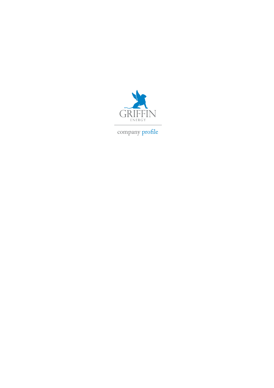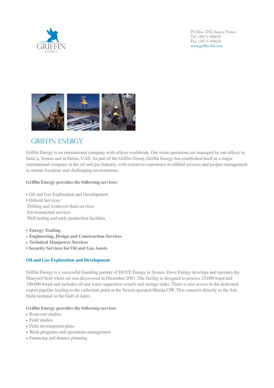



GRIFFIN ENERGY

Griffin Energy is an international company with offices worldwide. Our main operations are managed by our offices in Sana'a, Yemen and in Dubai, UAE. As part of the Griffin Group, Griffin Energy has established itself as a major international company in the oil and gas industry, with extensive experience in oilfield services and project management in remote locations and challenging environments. Aman company in the on this gas industry, while extensive experience in omnergy vices and project management

## **Griffin Energy provides the following services: Griffin Energy provides the following services:**

• Oil and Gas Exploration and Development **s -ATURE !SSET 2EHABILITATION** • Oilfield Services: **s /IL AND 'AS %XPLORATION AND \$EVELOPMENT** *s* **111 122 132 132 132 132 132 132 132 132 132 132 132 132 132 132 132 132 132 132 132 132 132 132 132 132 132 132 132 132 132 132 132 132 132 132 1 Drilling and workover fluid services** Environmental services<br>  $\frac{1}{2}$  $\frac{1}{2}$  and workover

Well testing and early production facilities

- **Energy Trading blue Sondership with Forage Sonde)**
- Engineering, Design and Construction Services
- **• SESIGNATION ESIGNATION 3ERVICES • 3ERVICES**
- **Security Services for Oil and Gas Assets S EXIGNERING AND AND 3ERVICES**

#### **/IL AND 'AS %XPLORATION AND \$EVELOPMENT Oil and Gas Exploration and Development**

Sharyoof field where oil was discovered in December 2001. The facility is designed to process 25,000 bopd and  $\frac{1}{\sqrt{2}}$  sharpoont in  $\frac{1}{\sqrt{2}}$  is designed to process 25,000 bopd and 150,000 bopd and 150,000 bopd and 150,000 bopd and 150,000 bopd and 150,000 bopd and 150,000 bopd and 150,000 bopd and 150,000 bopd and 150,000 150,000 bwpd and includes oil and water separation vessels and storage tanks. There is also access to the dedicated export pipeline leading to the collection point at the Nexen operated Masila CPF. This connects directly to the Ash Shihr terminal in the Gulf of Aden. Griffin Energy is a successful founding partner of DOVE Energy in Yemen. Dove Energy develops and operates the bwpd and includes oil and water separation vessels and storage tanks. There is also access to the dedicated export pipeline

# **Griffin Energy provides the following services Griffin Energy provides the following services Griffin Energy provides the following services**

- Reservoir studies
- Reservoir studies
- Field development plans  $\mu$  studies d development plans
- Work programs and operations management
- Financing and finance planning  $\overline{C}$  and  $\overline{C}$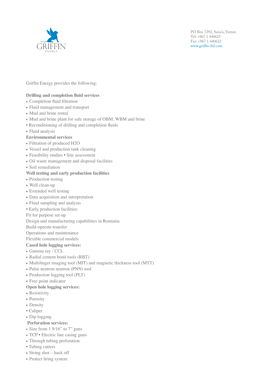

## Griffin Energy provides the following:

### **Drilling and completion fluid services**

- Completion fluid filtration
- $\bullet$  Flui
- Mu
- 
- $\bullet$  Flui

**Environment** 





- Filtration of produced H2O
- Vessel and production tank cleaning
- Feasibility studies Site assessment
- Oil waste management and disposal facilities
- Soil remediation Amman, Jordan, Sanat of the NT&S Energy Group and in Dubai, UAE. As part of the NT&S Energy Group and the Group and the Group and the NT&S Energy Group and the Group and the Group and the Group and the Group,  $\alpha$

## Well testing and early production facilities **Energy has established its extensive extensive extensive extensive extensive extensive extensive extensive extensive extensive extensive extensive extensive extensive extensive**

- Production testing **in the service management in remote location**
- Well clean-up
- Wen crean up<br>• Extended well testing
- $\bullet$  Data acquisition and interpretation
- **•** Fluid sampling and analysis
- $\bullet$  Early production facilities:
- Fit for purpose set-up

Design and manufacturing capabilities in Romania  $\mathcal{L}_{\text{total}}$   $\mathcal{L}_{\text{total}}$ 

Build-operate-transfer

Operations and maintenance

 $F$ lexible commercial models

## **ased hole logging services:**

- **Gamma ray / CCL**
- $\bullet$  Radial cement bond tools (RBT)
- Multifinger imaging tool (MIT) and magnetic thickness tool (MTT)
- Pulse neutron neutron (PNN) tool
- Production logging tool (PLT)
- Free point indicator

## **Open hole logging services:**

- Resistivity  $\ell$  ding to the Nexen operator point at the Nexen operator  $\ell$
- $\bullet$  Porosity
- Density **Griffin Energy provides the following services**
- Caliper
- Dip logging
- Perforation services:
- Size from 1  $9/16$ " to 7" guns
- $\bullet$  TCP  $\bullet$  Electric line casing guns
- Text Electric line clusing gains
- Tubing cutters
- String shot back off
- Protect firing system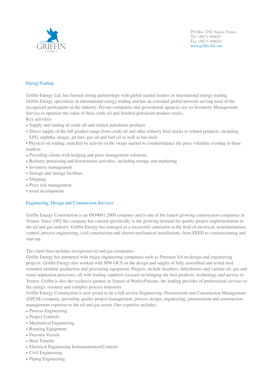

## EnergyTrading

Griffin Energy Ltd. has formed strong partnerships with global market leaders in international energy trading. Griffin Energy specializes in international energy trading and has an extended global network serving most of the

- 
- Key  $\varepsilon$
- 
- 



recognized participants in the industry. Private companies and government agencies use its Inventory Management Service to optimize the value of the value of the value of the value of the value of the value of the value of the value of the value of the value of the value of the value of the value of the value of the value of the val

• Direct supply of the full products range, from contact the full products of the full products, including

• Physical oil trading, matched by activity in the swaps market to counterbalance the price volatility existing in these markets ets<br>Griffin energy energy and a series

- Providing clients with hedging and price management solutions
- Refinery processing and downstream activities, including storage and marketing
- Inventory management
- Storage and storage facilities
- Shipping  $\sum_{n=1}^{\infty}$
- Price risk management
- The Fish management<br>• Asset development

## **Engineering, Design and Construction Services**

Griffin Energy Construction is an ISO9001:2000 company and is one of the fastest growing construction companies in Yemen. Since 1992 the company has catered specifically to the growing demand for quality project implementation in the oil and gas industry. Griffin Energy has emerged as a successful contractor in the field of electrical, instrumentation, control, process engineering, civil construction and electro-mechanical installations, from FEED to commissioning and  $start-up.$ a gas muusu y. Oririni Energy nas emergeu as a successiul co

The client base includes recognized oil and gas companies.

Griffin Energy has partnered with major engineering companies such as Petrostar SA on design and engineering projects. Griffin Energy also worked with MW-OCS on the design and supply of fully assembled and tested skid mounted modular production and processing equipment. Projects include desalters, dehydrators and various oil, gas and water separation processes, all with leading suppliers focused on bringing the best products, technology and service to Yemen. Griffin is also the exclusive partner in Yemen of WorleyParsons, the leading provider of professional services to the energy, resource and complex process industries

Griffin Energy Construction is now proud to be a full service Engineering, Procurement and Construction Management (EPCM) company, providing quality project management, process design, engineering, procurement and construction management expertise to the oil and gas sector. Our expertise includes:

- Process Engineering
- Project Controls
- Mechanical Engineering
- Rotating Equipment
- Pressure Vessels
- Heat Transfer
- Electrical Engineering Instrumentation/Controls
- Civil Engineering
- Piping Engineering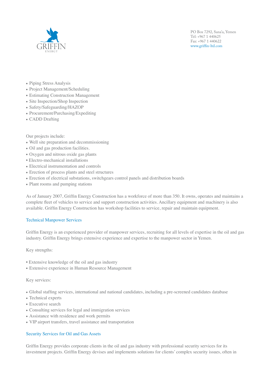

- Piping Stress Analysis
- Project Management/Scheduling
- Estimating Construction Management
- Site Inspection/Shop Inspection
- Saf $\epsilon$
- 
- $\bullet$  CA

Our p



- Well site preparation and decommissioning
- Oil and gas production facilities.
- On and gas production racinties.<br>• Oxygen and nitrous oxide gas plants
- Electro-mechanical installations Griffin Energy is an international company with offices worldwide. Our main operations are managed by our offices in
- Electrical instrumentation and controls
- Erection of process plants and steel structures
- Erection of electrical substations, switchgears control panels and distribution boards
- Plant rooms and pumping stations **Griffin Energy provides the following services:**

As of January 2007, Griffin Energy Construction has a workforce of more than 350. It owns, operates and maintains a complete fleet of vehicles to service and support construction activities. Ancillary equipment and machinery is also available. Griffin Energy Construction has workshop facilities to service, repair and maintain equipment.

#### Technical Manpower Services  $\mathbf{F}$

Griffin Energy is an experienced provider of manpower services, recruiting for all levels of expertise in the oil and gas industry. Griffin Energy brings extensive experience and expertise to the manpower sector in Yemen.  $\mu$  and  $\mu$  performed provider of manpower services,  $\mu$ 

 $Key$  strengths:

- Extensive knowledge of the oil and gas industry
- **•** Extensive experience in Human Resource Management

Key services:  $S_{\rm F}$  field where  $S_{\rm F}$  is december 2001. The facility is designed to process 25,000 boxd and 150,000 boxd and 150,000 boxd and 150,000 boxd and 150,000 boxd and 150,000 boxd and 150,000 boxd and 150,000 boxd and 15

- · Global staffing services, international and national candidates, including a pre-screened candidates database
- Technical experts
- Executive search
- Consulting services for legal and immigration services **Griffin Energy provides the following services**
- Assistance with residence and work permits
- VIP airport transfers, travel assistance and transportation

#### Security Services for Oil and Gas Assets s &INANCING AND lNANCE PLANNING

Griffin Energy provides corporate clients in the oil and gas industry with professional security services for its investment projects. Griffin Energy devises and implements solutions for clients' complex security issues, often in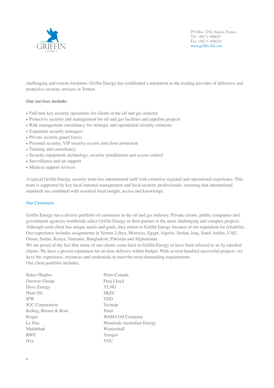

challenging and remote locations. Griffin Energy has established a reputation as the leading provider of defensive and protective security services in Yemen.

### **Our services include:**

• Exp  $\bullet$  Priv

• Full turn-key security operations for clients in the oil and gas industry • Risk management consultancy for strategic and operations  $\mathbb{R}$  and  $\mathbb{R}$  and  $\mathbb{R}$  security solutions



• Protective security and  $\mathbb{R}$  for other security and pipeline projects

- Personal security, VIP security escorts and close protection
- Training and consultancy
- Security equipment, technology, security installations and access control
- Surveillance and air support with offices with our management of  $\mathcal{L}$
- Medical support services

A typical Griffin Energy security team has international staff with extensive regional and operational experience. This team is supported by key local national management and local security professionals, ensuring that international standards are combined with essential local insight, access and knowledge. **Griffin Energy provides the following services:**

## $\alpha$  **Dur Customers**

•

Griffin Energy has a diverse portfolio of customers in the oil and gas industry. Private clients, public companies and government agencies worldwide select Griffin Energy as their partner in the most challenging and complex projects. Although each client has unique needs and goals, they return to Griffin Energy because of our reputation for reliability. Our experience includes assignments in Yemen, Libya, Morocco, Egypt, Algeria, Jordan, Iraq, Saudi Arabia, UAE, Oman, Sudan, Kenya, Tanzania, Bangladesh, Pakistan and Afghanistan. each chem has unique needs and goals, they fem in to Orman

We are proud of the fact that many of our clients come back to Griffin Energy or have been referred to us by satisfied clients. We have a proven reputation for on time delivery within budget. With several hundred successful projects, we have the experience, resources and credentials to meet the most demanding requirements.

 $\overline{\text{Our client portfolio includes:}}$ Baker Hughes ! ! ! ! Petro-Canada Daewoo Group Punj Lloyd Dove Energy  $YLNG$ Hunt Oil SKEC IPW ! ! ! ! ! ! TDD **JGC Corporation Technip** Kellog, Brown & Root ! ! ! Total Kogas **Example 28 WAHA Oil Company** Woodside Australian Energy Wintershall RWE **PROGRAMS** Yemgas Oxy YGC Friendling Energy is a successful found of DOVE Energy in Section 2. The DOVE Energy in Section 2. The DOVE Energy of DOVE Energy in Section 2. The DOVE Energy develops and operation  $P$ oo Group and was discovered in December 2001. The facility is designed to process 25,000 boxd and 150,000 boxd and 150,000 boxd and 150,000 boxd and 150,000 boxd and 150,000 boxd and 150,000 boxd and 150,000 boxd and 150,0 bwd and water separation version version version version version version version version version version version version version version version version version version version version version version version version versi leading to the collection point at the Nexen operated Masila CPF. This connects directly to the Ash Shihr terminal in  $s$ Le Duc Muhibbah